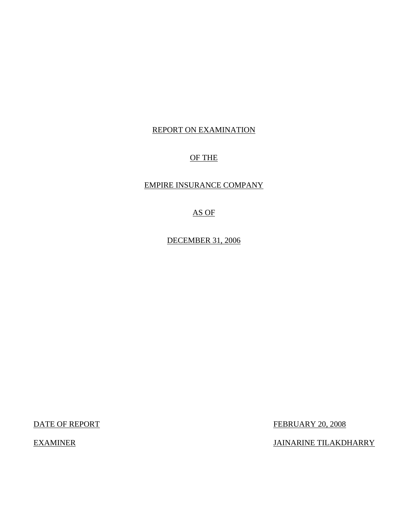# REPORT ON EXAMINATION

# OF THE

## EMPIRE INSURANCE COMPANY

# AS OF

DECEMBER 31, 2006

DATE OF REPORT FEBRUARY 20, 2008

EXAMINER JAINARINE TILAKDHARRY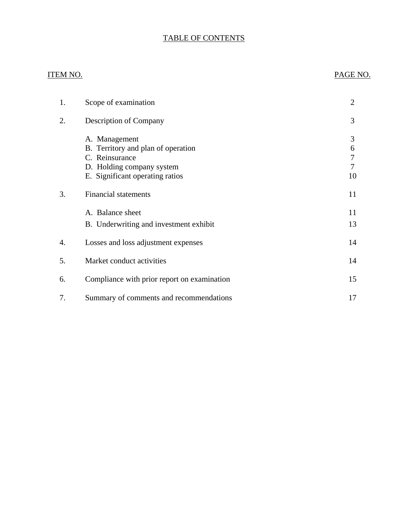# TABLE OF CONTENTS

# ITEM NO. PAGE NO.

| 1. | Scope of examination                                                                                                                  | $\overline{2}$         |
|----|---------------------------------------------------------------------------------------------------------------------------------------|------------------------|
| 2. | <b>Description of Company</b>                                                                                                         | 3                      |
|    | A. Management<br>B. Territory and plan of operation<br>C. Reinsurance<br>D. Holding company system<br>E. Significant operating ratios | 3<br>6<br>7<br>7<br>10 |
| 3. | <b>Financial statements</b>                                                                                                           | 11                     |
|    | A. Balance sheet<br>B. Underwriting and investment exhibit                                                                            | 11<br>13               |
| 4. | Losses and loss adjustment expenses                                                                                                   | 14                     |
| 5. | Market conduct activities                                                                                                             | 14                     |
| 6. | Compliance with prior report on examination                                                                                           | 15                     |
| 7. | Summary of comments and recommendations                                                                                               | 17                     |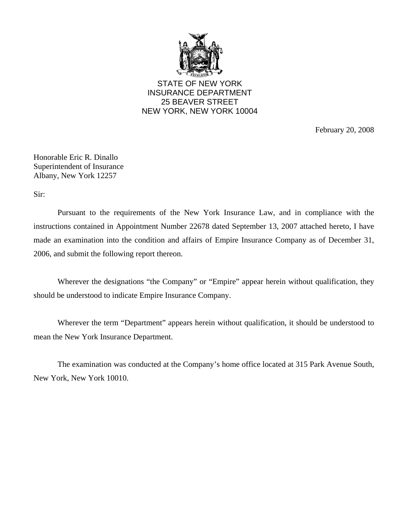

STATE OF NEW YORK INSURANCE DEPARTMENT 25 BEAVER STREET NEW YORK, NEW YORK 10004

February 20, 2008

Honorable Eric R. Dinallo Superintendent of Insurance Albany, New York 12257

Sir:

Pursuant to the requirements of the New York Insurance Law, and in compliance with the instructions contained in Appointment Number 22678 dated September 13, 2007 attached hereto, I have made an examination into the condition and affairs of Empire Insurance Company as of December 31, 2006, and submit the following report thereon.

Wherever the designations "the Company" or "Empire" appear herein without qualification, they should be understood to indicate Empire Insurance Company.

Wherever the term "Department" appears herein without qualification, it should be understood to mean the New York Insurance Department.

The examination was conducted at the Company's home office located at 315 Park Avenue South, New York, New York 10010.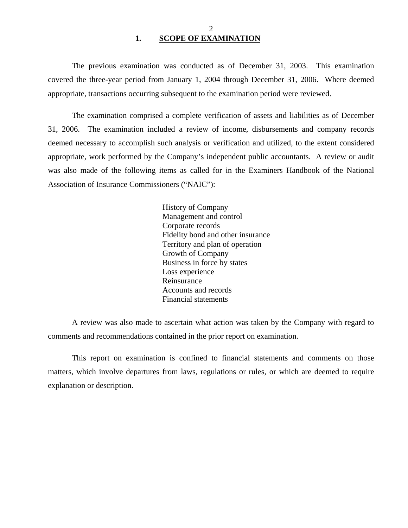### 2 **1. SCOPE OF EXAMINATION**

<span id="page-3-0"></span>The previous examination was conducted as of December 31, 2003. This examination covered the three-year period from January 1, 2004 through December 31, 2006. Where deemed appropriate, transactions occurring subsequent to the examination period were reviewed.

The examination comprised a complete verification of assets and liabilities as of December 31, 2006. The examination included a review of income, disbursements and company records deemed necessary to accomplish such analysis or verification and utilized, to the extent considered appropriate, work performed by the Company's independent public accountants. A review or audit was also made of the following items as called for in the Examiners Handbook of the National Association of Insurance Commissioners ("NAIC"):

> History of Company Management and control Corporate records Fidelity bond and other insurance Territory and plan of operation Growth of Company Business in force by states Loss experience Reinsurance Accounts and records Financial statements

A review was also made to ascertain what action was taken by the Company with regard to comments and recommendations contained in the prior report on examination.

This report on examination is confined to financial statements and comments on those matters, which involve departures from laws, regulations or rules, or which are deemed to require explanation or description.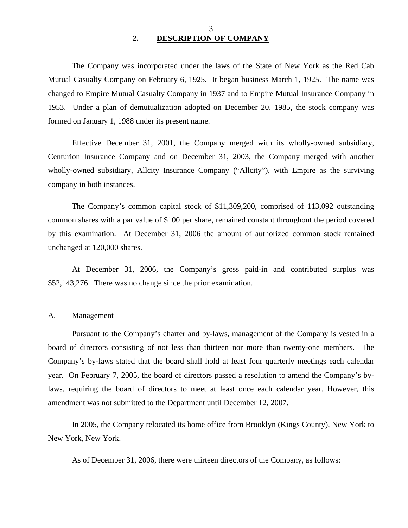3 **2. DESCRIPTION OF COMPANY** 

<span id="page-4-0"></span>The Company was incorporated under the laws of the State of New York as the Red Cab Mutual Casualty Company on February 6, 1925. It began business March 1, 1925. The name was changed to Empire Mutual Casualty Company in 1937 and to Empire Mutual Insurance Company in 1953. Under a plan of demutualization adopted on December 20, 1985, the stock company was formed on January 1, 1988 under its present name.

Effective December 31, 2001, the Company merged with its wholly-owned subsidiary, Centurion Insurance Company and on December 31, 2003, the Company merged with another wholly-owned subsidiary, Allcity Insurance Company ("Allcity"), with Empire as the surviving company in both instances.

The Company's common capital stock of \$11,309,200, comprised of 113,092 outstanding common shares with a par value of \$100 per share, remained constant throughout the period covered by this examination. At December 31, 2006 the amount of authorized common stock remained unchanged at 120,000 shares.

At December 31, 2006, the Company's gross paid-in and contributed surplus was \$52,143,276. There was no change since the prior examination.

#### A. Management

Pursuant to the Company's charter and by-laws, management of the Company is vested in a board of directors consisting of not less than thirteen nor more than twenty-one members. The Company's by-laws stated that the board shall hold at least four quarterly meetings each calendar year. On February 7, 2005, the board of directors passed a resolution to amend the Company's bylaws, requiring the board of directors to meet at least once each calendar year. However, this amendment was not submitted to the Department until December 12, 2007.

In 2005, the Company relocated its home office from Brooklyn (Kings County), New York to New York, New York.

As of December 31, 2006, there were thirteen directors of the Company, as follows: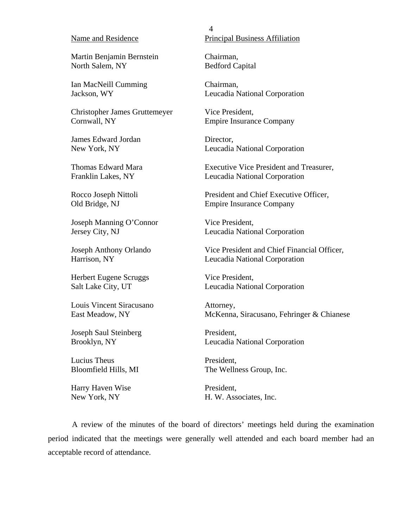#### Name and Residence

Martin Benjamin Bernstein North Salem, NY

Ian MacNeill Cumming Jackson, WY

Christopher James Gruttemeyer Cornwall, NY

James Edward Jordan New York, NY

Thomas Edward Mara Franklin Lakes, NY

Rocco Joseph Nittoli Old Bridge, NJ

Joseph Manning O'Connor Jersey City, NJ

Joseph Anthony Orlando Harrison, NY

Herbert Eugene Scruggs Salt Lake City, UT

Louis Vincent Siracusano East Meadow, NY

Joseph Saul Steinberg Brooklyn, NY

Lucius Theus Bloomfield Hills, MI

Harry Haven Wise New York, NY

4 Principal Business Affiliation

Chairman, Bedford Capital

Chairman, Leucadia National Corporation

Vice President, Empire Insurance Company

Director, Leucadia National Corporation

Executive Vice President and Treasurer, Leucadia National Corporation

President and Chief Executive Officer, Empire Insurance Company

Vice President, Leucadia National Corporation

Vice President and Chief Financial Officer, Leucadia National Corporation

Vice President, Leucadia National Corporation

Attorney, McKenna, Siracusano, Fehringer & Chianese

President, Leucadia National Corporation

President, The Wellness Group, Inc.

President, H. W. Associates, Inc.

A review of the minutes of the board of directors' meetings held during the examination period indicated that the meetings were generally well attended and each board member had an acceptable record of attendance.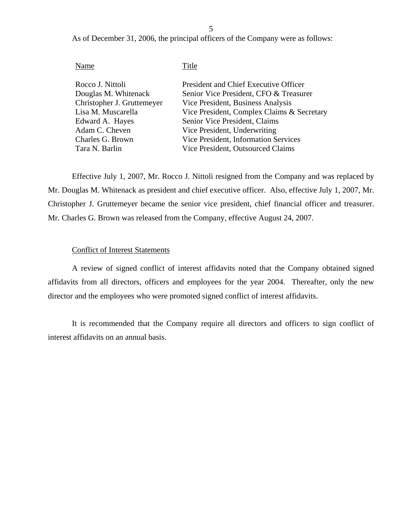5

As of December 31, 2006, the principal officers of the Company were as follows:

## Name Title

| Rocco J. Nittoli           | President and Chief Executive Officer      |
|----------------------------|--------------------------------------------|
| Douglas M. Whitenack       | Senior Vice President, CFO & Treasurer     |
| Christopher J. Gruttemeyer | Vice President, Business Analysis          |
| Lisa M. Muscarella         | Vice President, Complex Claims & Secretary |
| Edward A. Hayes            | Senior Vice President, Claims              |
| Adam C. Cheven             | Vice President, Underwriting               |
| Charles G. Brown           | Vice President, Information Services       |
| Tara N. Barlin             | Vice President, Outsourced Claims          |
|                            |                                            |

Effective July 1, 2007, Mr. Rocco J. Nittoli resigned from the Company and was replaced by Mr. Douglas M. Whitenack as president and chief executive officer. Also, effective July 1, 2007, Mr. Christopher J. Gruttemeyer became the senior vice president, chief financial officer and treasurer. Mr. Charles G. Brown was released from the Company, effective August 24, 2007.

### Conflict of Interest Statements

A review of signed conflict of interest affidavits noted that the Company obtained signed affidavits from all directors, officers and employees for the year 2004. Thereafter, only the new director and the employees who were promoted signed conflict of interest affidavits.

It is recommended that the Company require all directors and officers to sign conflict of interest affidavits on an annual basis.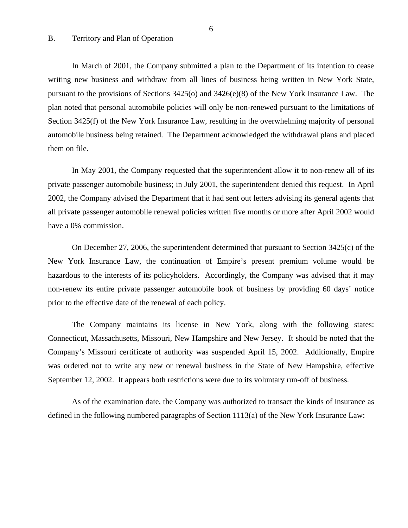#### <span id="page-7-0"></span>B. Territory and Plan of Operation

In March of 2001, the Company submitted a plan to the Department of its intention to cease writing new business and withdraw from all lines of business being written in New York State, pursuant to the provisions of Sections 3425(o) and 3426(e)(8) of the New York Insurance Law. The plan noted that personal automobile policies will only be non-renewed pursuant to the limitations of Section 3425(f) of the New York Insurance Law, resulting in the overwhelming majority of personal automobile business being retained. The Department acknowledged the withdrawal plans and placed them on file.

In May 2001, the Company requested that the superintendent allow it to non-renew all of its private passenger automobile business; in July 2001, the superintendent denied this request. In April 2002, the Company advised the Department that it had sent out letters advising its general agents that all private passenger automobile renewal policies written five months or more after April 2002 would have a 0% commission.

On December 27, 2006, the superintendent determined that pursuant to Section 3425(c) of the New York Insurance Law, the continuation of Empire's present premium volume would be hazardous to the interests of its policyholders. Accordingly, the Company was advised that it may non-renew its entire private passenger automobile book of business by providing 60 days' notice prior to the effective date of the renewal of each policy.

The Company maintains its license in New York, along with the following states: Connecticut, Massachusetts, Missouri, New Hampshire and New Jersey. It should be noted that the Company's Missouri certificate of authority was suspended April 15, 2002. Additionally, Empire was ordered not to write any new or renewal business in the State of New Hampshire, effective September 12, 2002. It appears both restrictions were due to its voluntary run-off of business.

As of the examination date, the Company was authorized to transact the kinds of insurance as defined in the following numbered paragraphs of Section 1113(a) of the New York Insurance Law: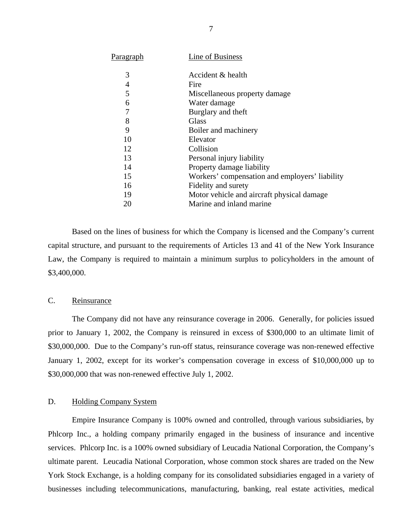<span id="page-8-0"></span>

| Paragraph | Line of Business                               |
|-----------|------------------------------------------------|
| 3         | Accident & health                              |
| 4         | Fire                                           |
| 5         | Miscellaneous property damage                  |
| 6         | Water damage                                   |
| 7         | Burglary and theft                             |
| 8         | Glass                                          |
| 9         | Boiler and machinery                           |
| 10        | Elevator                                       |
| 12        | Collision                                      |
| 13        | Personal injury liability                      |
| 14        | Property damage liability                      |
| 15        | Workers' compensation and employers' liability |
| 16        | Fidelity and surety                            |
| 19        | Motor vehicle and aircraft physical damage     |
| 20        | Marine and inland marine                       |
|           |                                                |

Based on the lines of business for which the Company is licensed and the Company's current capital structure, and pursuant to the requirements of Articles 13 and 41 of the New York Insurance Law, the Company is required to maintain a minimum surplus to policyholders in the amount of \$3,400,000.

### C. Reinsurance

The Company did not have any reinsurance coverage in 2006. Generally, for policies issued prior to January 1, 2002, the Company is reinsured in excess of \$300,000 to an ultimate limit of \$30,000,000. Due to the Company's run-off status, reinsurance coverage was non-renewed effective January 1, 2002, except for its worker's compensation coverage in excess of \$10,000,000 up to \$30,000,000 that was non-renewed effective July 1, 2002.

#### D. Holding Company System

Empire Insurance Company is 100% owned and controlled, through various subsidiaries, by Phlcorp Inc., a holding company primarily engaged in the business of insurance and incentive services. Phlcorp Inc. is a 100% owned subsidiary of Leucadia National Corporation, the Company's ultimate parent. Leucadia National Corporation, whose common stock shares are traded on the New York Stock Exchange, is a holding company for its consolidated subsidiaries engaged in a variety of businesses including telecommunications, manufacturing, banking, real estate activities, medical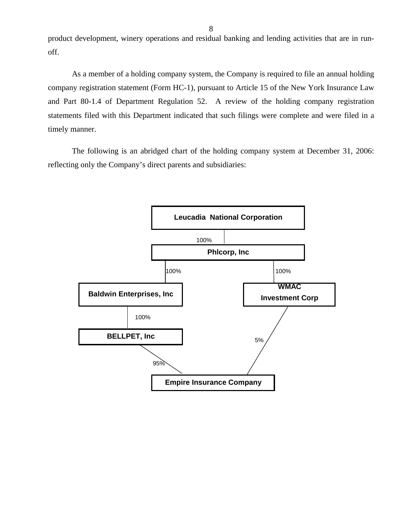product development, winery operations and residual banking and lending activities that are in runoff.

As a member of a holding company system, the Company is required to file an annual holding company registration statement (Form HC-1), pursuant to Article 15 of the New York Insurance Law and Part 80-1.4 of Department Regulation 52. A review of the holding company registration statements filed with this Department indicated that such filings were complete and were filed in a timely manner.

The following is an abridged chart of the holding company system at December 31, 2006: reflecting only the Company's direct parents and subsidiaries:

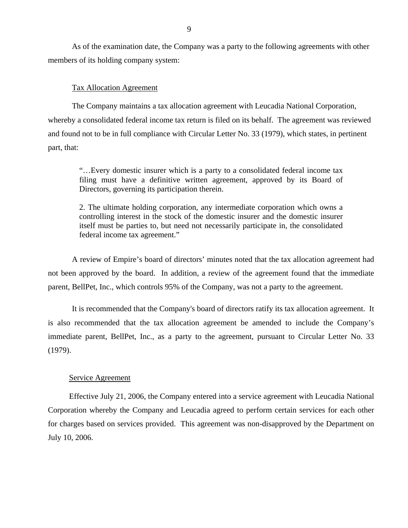As of the examination date, the Company was a party to the following agreements with other members of its holding company system:

#### Tax Allocation Agreement

The Company maintains a tax allocation agreement with Leucadia National Corporation, whereby a consolidated federal income tax return is filed on its behalf. The agreement was reviewed and found not to be in full compliance with Circular Letter No. 33 (1979), which states, in pertinent part, that:

"…Every domestic insurer which is a party to a consolidated federal income tax filing must have a definitive written agreement, approved by its Board of Directors, governing its participation therein.

2. The ultimate holding corporation, any intermediate corporation which owns a controlling interest in the stock of the domestic insurer and the domestic insurer itself must be parties to, but need not necessarily participate in, the consolidated federal income tax agreement."

A review of Empire's board of directors' minutes noted that the tax allocation agreement had not been approved by the board. In addition, a review of the agreement found that the immediate parent, BellPet, Inc., which controls 95% of the Company, was not a party to the agreement.

It is recommended that the Company's board of directors ratify its tax allocation agreement. It is also recommended that the tax allocation agreement be amended to include the Company's immediate parent, BellPet, Inc., as a party to the agreement, pursuant to Circular Letter No. 33 (1979).

#### Service Agreement

Effective July 21, 2006, the Company entered into a service agreement with Leucadia National Corporation whereby the Company and Leucadia agreed to perform certain services for each other for charges based on services provided. This agreement was non-disapproved by the Department on July 10, 2006.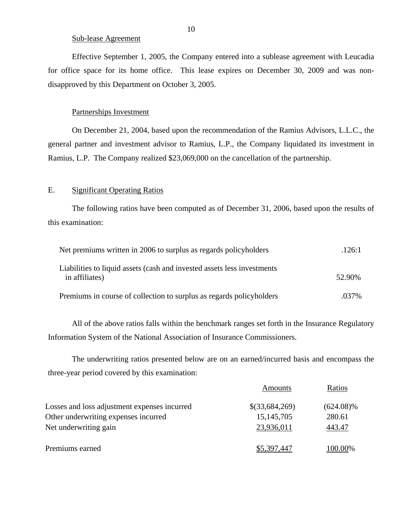#### Sub-lease Agreement

Effective September 1, 2005, the Company entered into a sublease agreement with Leucadia for office space for its home office. This lease expires on December 30, 2009 and was nondisapproved by this Department on October 3, 2005.

#### Partnerships Investment

On December 21, 2004, based upon the recommendation of the Ramius Advisors, L.L.C., the general partner and investment advisor to Ramius, L.P., the Company liquidated its investment in Ramius, L.P. The Company realized \$23,069,000 on the cancellation of the partnership.

### E. Significant Operating Ratios

The following ratios have been computed as of December 31, 2006, based upon the results of this examination:

| Net premiums written in 2006 to surplus as regards policyholders                          | .126:1 |
|-------------------------------------------------------------------------------------------|--------|
| Liabilities to liquid assets (cash and invested assets less investments<br>in affiliates) | 52.90% |
| Premiums in course of collection to surplus as regards policyholders                      | .037%  |

All of the above ratios falls within the benchmark ranges set forth in the Insurance Regulatory Information System of the National Association of Insurance Commissioners.

The underwriting ratios presented below are on an earned/incurred basis and encompass the three-year period covered by this examination:

|                                              | Amounts        | Ratios       |
|----------------------------------------------|----------------|--------------|
| Losses and loss adjustment expenses incurred | \$(33,684,269) | $(624.08)\%$ |
| Other underwriting expenses incurred         | 15, 145, 705   | 280.61       |
| Net underwriting gain                        | 23,936,011     | 443.47       |
| Premiums earned                              | \$5,397,447    | 100.00%      |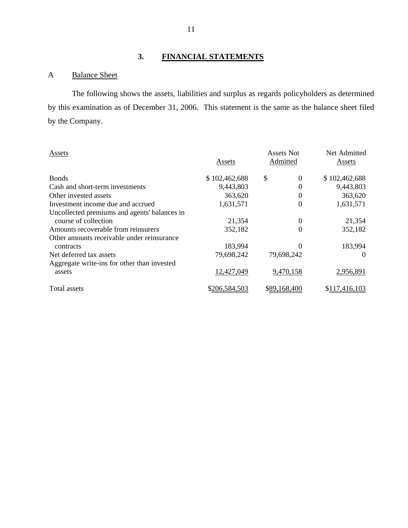# **3. FINANCIAL STATEMENTS**

# A Balance Sheet

The following shows the assets, liabilities and surplus as regards policyholders as determined by this examination as of December 31, 2006. This statement is the same as the balance sheet filed by the Company.

| Assets                                       | Assets        | Assets Not<br>Admitted | Net Admitted<br>Assets |
|----------------------------------------------|---------------|------------------------|------------------------|
| <b>Bonds</b>                                 | \$102,462,688 | \$<br>$\Omega$         | \$102,462,688          |
| Cash and short-term investments              | 9,443,803     | 0                      | 9,443,803              |
| Other invested assets                        | 363,620       | 0                      | 363,620                |
| Investment income due and accrued            | 1,631,571     | 0                      | 1,631,571              |
| Uncollected premiums and agents' balances in |               |                        |                        |
| course of collection                         | 21,354        | 0                      | 21,354                 |
| Amounts recoverable from reinsurers          | 352,182       | 0                      | 352,182                |
| Other amounts receivable under reinsurance   |               |                        |                        |
| contracts                                    | 183,994       |                        | 183,994                |
| Net deferred tax assets                      | 79,698,242    | 79,698,242             | $\theta$               |
| Aggregate write-ins for other than invested  |               |                        |                        |
| assets                                       | 12,427,049    | 9,470,158              | 2,956,891              |
| Total assets                                 | \$206,584,503 | \$89,168,400           | \$117,416,103          |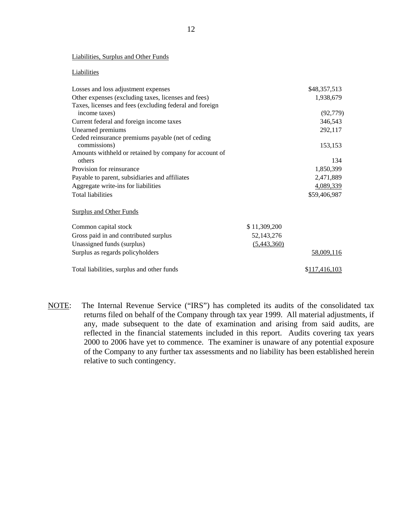#### Liabilities, Surplus and Other Funds

#### **Liabilities**

| Losses and loss adjustment expenses                     |              | \$48,357,513          |
|---------------------------------------------------------|--------------|-----------------------|
| Other expenses (excluding taxes, licenses and fees)     |              | 1,938,679             |
| Taxes, licenses and fees (excluding federal and foreign |              |                       |
| income taxes)                                           |              | (92, 779)             |
| Current federal and foreign income taxes                |              | 346,543               |
| Unearned premiums                                       |              | 292,117               |
| Ceded reinsurance premiums payable (net of ceding       |              |                       |
| commissions)                                            |              | 153,153               |
| Amounts withheld or retained by company for account of  |              |                       |
| others                                                  |              | 134                   |
| Provision for reinsurance                               |              | 1,850,399             |
| Payable to parent, subsidiaries and affiliates          |              | 2,471,889             |
| Aggregate write-ins for liabilities                     |              | 4,089,339             |
| <b>Total liabilities</b>                                |              | \$59,406,987          |
|                                                         |              |                       |
| <b>Surplus and Other Funds</b>                          |              |                       |
| Common capital stock                                    | \$11,309,200 |                       |
| Gross paid in and contributed surplus                   | 52, 143, 276 |                       |
| Unassigned funds (surplus)                              | (5,443,360)  |                       |
| Surplus as regards policyholders                        |              | 58,009,116            |
| Total liabilities, surplus and other funds              |              | \$ <u>117,416,103</u> |

NOTE: The Internal Revenue Service ("IRS") has completed its audits of the consolidated tax returns filed on behalf of the Company through tax year 1999. All material adjustments, if any, made subsequent to the date of examination and arising from said audits, are reflected in the financial statements included in this report. Audits covering tax years 2000 to 2006 have yet to commence. The examiner is unaware of any potential exposure of the Company to any further tax assessments and no liability has been established herein relative to such contingency.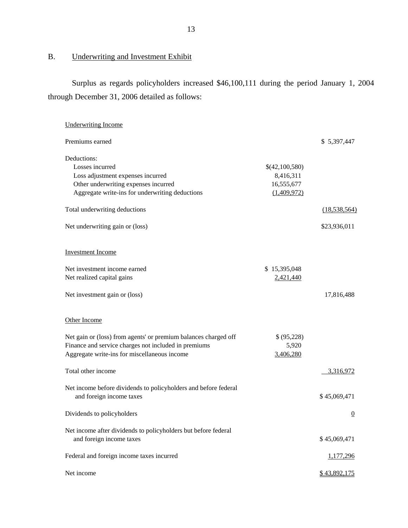# B. Underwriting and Investment Exhibit

Surplus as regards policyholders increased \$46,100,111 during the period January 1, 2004 through December 31, 2006 detailed as follows:

| <b>Underwriting Income</b>                                                                                                                                              |                                                          |                  |
|-------------------------------------------------------------------------------------------------------------------------------------------------------------------------|----------------------------------------------------------|------------------|
| Premiums earned                                                                                                                                                         |                                                          | \$ 5,397,447     |
| Deductions:<br>Losses incurred<br>Loss adjustment expenses incurred<br>Other underwriting expenses incurred<br>Aggregate write-ins for underwriting deductions          | \$(42,100,580)<br>8,416,311<br>16,555,677<br>(1,409,972) |                  |
| Total underwriting deductions                                                                                                                                           |                                                          | (18, 538, 564)   |
| Net underwriting gain or (loss)                                                                                                                                         |                                                          | \$23,936,011     |
| <b>Investment Income</b>                                                                                                                                                |                                                          |                  |
| Net investment income earned<br>Net realized capital gains                                                                                                              | \$15,395,048<br>2,421,440                                |                  |
| Net investment gain or (loss)                                                                                                                                           |                                                          | 17,816,488       |
| Other Income                                                                                                                                                            |                                                          |                  |
| Net gain or (loss) from agents' or premium balances charged off<br>Finance and service charges not included in premiums<br>Aggregate write-ins for miscellaneous income | \$(95,228)<br>5,920<br>3,406,280                         |                  |
| Total other income                                                                                                                                                      |                                                          | 3,316,972        |
| Net income before dividends to policyholders and before federal<br>and foreign income taxes                                                                             |                                                          | \$45,069,471     |
| Dividends to policyholders                                                                                                                                              |                                                          | $\overline{0}$   |
| Net income after dividends to policyholders but before federal<br>and foreign income taxes                                                                              |                                                          | \$45,069,471     |
| Federal and foreign income taxes incurred                                                                                                                               |                                                          | <u>1,177,296</u> |
| Net income                                                                                                                                                              |                                                          | \$43,892,175     |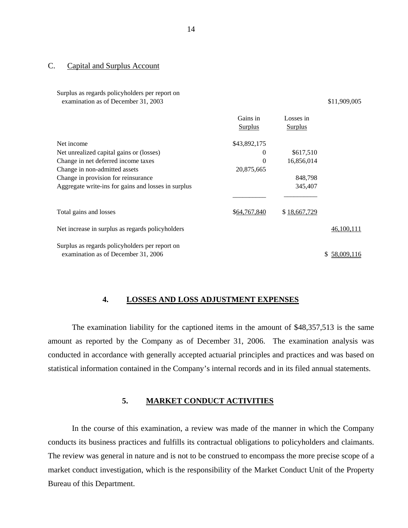#### C. Capital and Surplus Account

Surplus as regards policyholders per report on examination as of December 31, 2003 \$11,909,005

Gains in **Surplus** Surplus Surplus Surplus Surplus Surplus Surplus Surplus Surplus Surplus Surplus Surplus Surplus Surplus Surplus Surplus Surplus Surplus Surplus Surplus Surplus Surplus Surplus Surplus Surplus Surplus Surplus Surp Losses in Surplus Surplus Net income Net unrealized capital gains or (losses) Change in net deferred income taxes Change in non-admitted assets Change in provision for reinsurance Aggregate write-ins for gains and losses in surplus \$43,892,175  $\Omega$  $\theta$ 20,875,665 \$617,510 16,856,014 848,798 345,407  $\mathcal{L}_\text{max} = \mathcal{L}_\text{max} = \mathcal{L}_\text{max} = \mathcal{L}_\text{max} = \mathcal{L}_\text{max} = \mathcal{L}_\text{max} = \mathcal{L}_\text{max} = \mathcal{L}_\text{max} = \mathcal{L}_\text{max} = \mathcal{L}_\text{max} = \mathcal{L}_\text{max} = \mathcal{L}_\text{max} = \mathcal{L}_\text{max} = \mathcal{L}_\text{max} = \mathcal{L}_\text{max} = \mathcal{L}_\text{max} = \mathcal{L}_\text{max} = \mathcal{L}_\text{max} = \mathcal{$ Total gains and losses  $\frac{$64,767,840}{$18,667,729}$ Net increase in surplus as regards policyholders  $46,100,111$ 

Surplus as regards policyholders per report on examination as of December 31, 2006 \$ 58,009,116

#### **4. LOSSES AND LOSS ADJUSTMENT EXPENSES**

The examination liability for the captioned items in the amount of \$48,357,513 is the same amount as reported by the Company as of December 31, 2006. The examination analysis was conducted in accordance with generally accepted actuarial principles and practices and was based on statistical information contained in the Company's internal records and in its filed annual statements.

### **5. MARKET CONDUCT ACTIVITIES**

In the course of this examination, a review was made of the manner in which the Company conducts its business practices and fulfills its contractual obligations to policyholders and claimants. The review was general in nature and is not to be construed to encompass the more precise scope of a market conduct investigation, which is the responsibility of the Market Conduct Unit of the Property Bureau of this Department.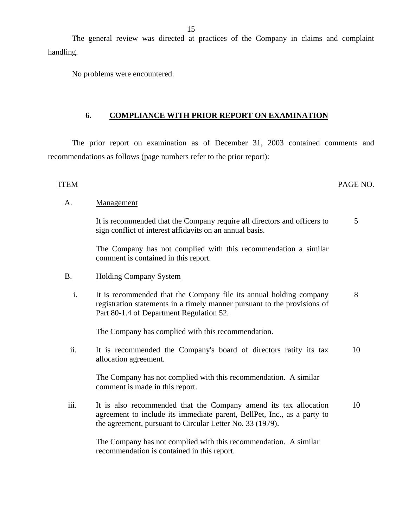The general review was directed at practices of the Company in claims and complaint handling.

No problems were encountered.

## **6. COMPLIANCE WITH PRIOR REPORT ON EXAMINATION**

The prior report on examination as of December 31, 2003 contained comments and recommendations as follows (page numbers refer to the prior report):

#### ITEM PAGE NO.

#### A. Management

It is recommended that the Company require all directors and officers to sign conflict of interest affidavits on an annual basis. 5

The Company has not complied with this recommendation a similar comment is contained in this report.

- B. Holding Company System
	- i. It is recommended that the Company file its annual holding company registration statements in a timely manner pursuant to the provisions of Part 80-1.4 of Department Regulation 52. 8

The Company has complied with this recommendation.

ii. It is recommended the Company's board of directors ratify its tax allocation agreement. 10

The Company has not complied with this recommendation. A similar comment is made in this report.

iii. It is also recommended that the Company amend its tax allocation agreement to include its immediate parent, BellPet, Inc., as a party to the agreement, pursuant to Circular Letter No. 33 (1979). 10

The Company has not complied with this recommendation. A similar recommendation is contained in this report.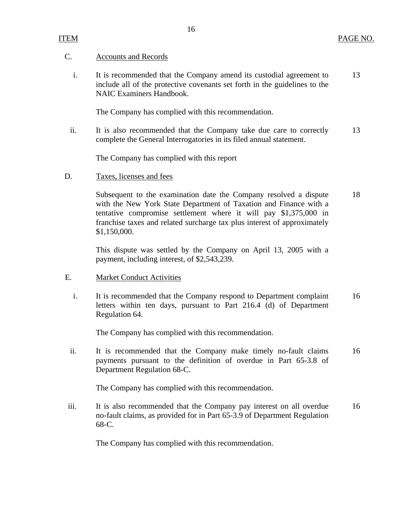### C. Accounts and Records

i. It is recommended that the Company amend its custodial agreement to 13 include all of the protective covenants set forth in the guidelines to the NAIC Examiners Handbook.

The Company has complied with this recommendation.

ii. It is also recommended that the Company take due care to correctly 13 complete the General Interrogatories in its filed annual statement.

The Company has complied with this report

D. Taxes, licenses and fees

Subsequent to the examination date the Company resolved a dispute 18 with the New York State Department of Taxation and Finance with a tentative compromise settlement where it will pay \$1,375,000 in franchise taxes and related surcharge tax plus interest of approximately \$1,150,000.

This dispute was settled by the Company on April 13, 2005 with a payment, including interest, of \$2,543,239.

- E. Market Conduct Activities
	- i. It is recommended that the Company respond to Department complaint 16 letters within ten days, pursuant to Part 216.4 (d) of Department Regulation 64.

The Company has complied with this recommendation.

ii. It is recommended that the Company make timely no-fault claims 16 payments pursuant to the definition of overdue in Part 65-3.8 of Department Regulation 68-C.

The Company has complied with this recommendation.

iii. It is also recommended that the Company pay interest on all overdue 16 no-fault claims, as provided for in Part 65-3.9 of Department Regulation 68-C.

The Company has complied with this recommendation.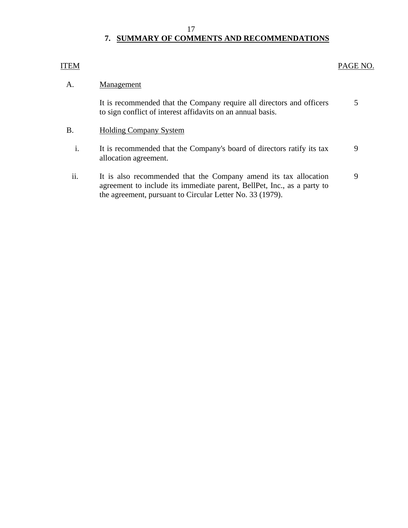# **7. SUMMARY OF COMMENTS AND RECOMMENDATIONS**

## <span id="page-18-0"></span>ITEM PAGE NO.

## A. Management

It is recommended that the Company require all directors and officers 5 to sign conflict of interest affidavits on an annual basis.

- B. Holding Company System
	- i. It is recommended that the Company's board of directors ratify its tax 9 allocation agreement.
	- ii. It is also recommended that the Company amend its tax allocation 9 agreement to include its immediate parent, BellPet, Inc., as a party to the agreement, pursuant to Circular Letter No. 33 (1979).

17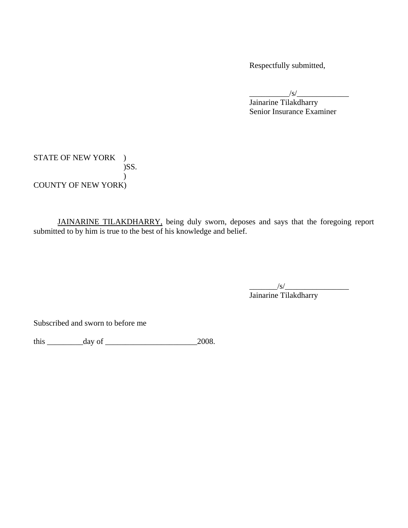Respectfully submitted,

 $\frac{1}{s}$  Jainarine Tilakdharry Senior Insurance Examiner

STATE OF NEW YORK ) )SS.  $\mathcal{L}$ COUNTY OF NEW YORK)

JAINARINE TILAKDHARRY, being duly sworn, deposes and says that the foregoing report submitted to by him is true to the best of his knowledge and belief.

\_\_\_\_\_\_\_/s/\_\_\_\_\_\_\_\_\_\_\_\_\_\_\_\_ Jainarine Tilakdharry

Subscribed and sworn to before me

this  $\frac{day \text{ of } 2008.}{}$